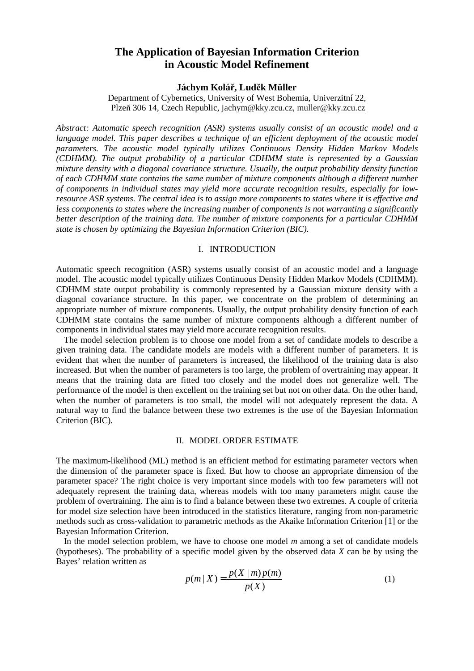# **The Application of Bayesian Information Criterion in Acoustic Model Refinement**

## **Jáchym Kolá** ř**, Lud** ě**k Müller**

Department of Cybernetics, University of West Bohemia, Univerzitní 22, Plze ň30614, Czech Republic, jachym@kky.zcu.cz, muller@kky.zcu.cz

*Abstract: Automatic speech recognition (ASR) systems usually consist of an acoustic model and a language model. This paper describes a technique of an efficient deployment of t he acoustic model parameters. The acoustic model typically utilizes Continuous Density Hi dden Markov Models (CDHMM). The output probability of a particular CDHMM state is represe nted by a Gaussian mixture density with a diagonal covariance structure. Usually, the output probabil ity density function of each CDHMM state contains the same number of mixture components although a different number of components in individual states may yield more accurate recognition resul ts, especially for lowresource ASR systems. The central idea is to assign more components to states where it is effective and less components to states where the increasing number of components is not warranting asignificantly better description of the training data. The number of mixture components for a particular CDHMM state is chosen by optimizing the Bayesian Information Criterion (BIC).* 

#### I. INTRODUCTION

Automatic speech recognition (ASR) systems usually consist of an acoustic model and a language model. The acoustic model typically utilizes Continuous Density Hidden Markov Models (CDHMM). CDHMM state output probability is commonly represented by a Gaussia n mixture density with a diagonal covariance structure. In this paper, we concentrate on the probl em of determining an appropriate number of mixture components. Usually, the output probability densit y function of each CDHMM state contains the same number of mixture components although a different number of components in individual states may yield more accurate recognition results.

The model selection problem is to choose one model from a set of candida te models to describe a given training data. The candidate models are models with a differ ent number of parameters. It is evident that when the number of parameters is increased, the likel ihood of the training data is also increased. But when the number of parameters is too large, the problem of overtraining may appear. It means that the training data are fitted too closely and the model does not generalize well. The performance of the model is then excellent on the training set but not on other data. On the othe r hand, when the number of parameters is too small, the model will not adequat ely represent the data. A natural way to find the balance between these two extremes is the use of the Bayesian Information Criterion (BIC).

#### II. MODEL ORDER ESTIMATE

The maximum-likelihood (ML) method is an efficient method for estim ating parameter vectors when the dimension of the parameter space is fixed. But how to choose an appropr iate dimension of the parameter space? The right choice is very important since model s with too few parameters will not adequately represent the training data, whereas models with too many parameters might cause the problem of overtraining. The aim is to find a balance between these two e xtremes. A couple of criteria for model size selection have been introduced in the statistics li terature, ranging from non-parametric methods such as cross-validation to parametric methods as the Aka ike Information Criterion [1] or the BayesianInformationCriterion.

In the model selection problem, we have to choose one model *m* among a set of candidate models (hypotheses). The probability of a specific model given by the observe d data *X* can be by using the Bayes' relation written as

$$
p(m | X) = \frac{p(X | m) p(m)}{p(X)}
$$
 (1)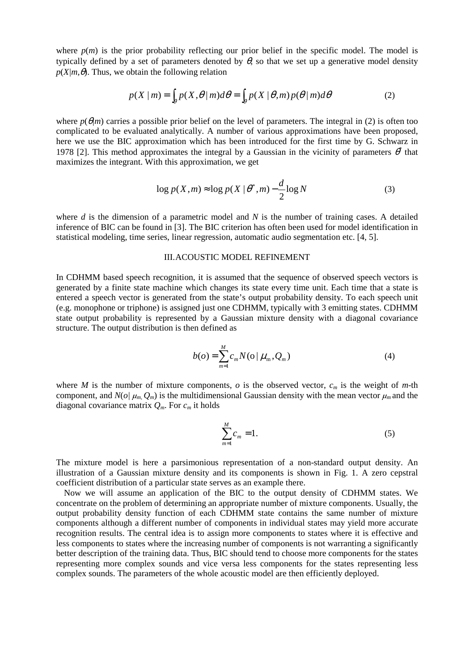where  $p(m)$  is the prior probability reflecting our prior belief in the speci fic model. The model is typically defined by a set of parameters denoted by  $\theta$ , so that we set up a generative model density  $p(X/m, \theta)$ . Thus, we obtain the following relation

$$
p(X \mid m) = \int_{\mathcal{P}} p(X, \theta \mid m) d\theta = \int_{\mathcal{P}} p(X \mid \theta, m) p(\theta \mid m) d\theta \tag{2}
$$

where  $p(\theta|m)$  carries a possible prior belief on the level of parameters. T he integral in (2) is often too complicated to be evaluated analytically. A number of various approxim ations have been proposed, here we use the BIC approximation which has been introduced for the firs time by G. Schwarz in  $1978[2]$ . This method approximates the integral by a Gaussian in the vic maximizes the integrant. With this approximation, we get

*\** that

$$
\log p(X,m) \approx \log p(X \mid \theta^*, m) - \frac{d}{2} \log N \tag{3}
$$

where *d* is the dimension of a parametric model and *N* is the number of training cases. A detailed inference of BIC can be found in [3]. The BIC criterion has often been used for model identif ication in statistical modeling, timeseries, linear regression, automatic audiose gmentation etc. [4,5].

#### IIIACOUSTICMODELREFINEMENT

In CDHMM based speech recognition, it is assumed that the sequence of observed speech vectors is generated by a finite state machine which changes its state e very time unit. Each time that a state is entered a speech vector is generated from the state's output probabi lity density. To each speech unit (e.g. monophone or triphone) is assigned just one CDHMM, typically with 3 emitting state s. CDHMM state output probability is represented by a Gaussian mixture densit y with a diagonal covariance structure. The output distribution is then defined as

$$
b(o) = \sum_{m=1}^{M} c_m N(o \mid \mu_m, Q_m)
$$
 (4)

where *M* is the number of mixture components, *o* is the observed vector, *cm* is the weight of *m*-th component, and  $N(o | \mu_m Q_m)$  is the multidimensional Gaussian density with the mean vector  $\mu_m$  and the diagonal covariance matrix  $Q_m$ . For  $c_m$  it holds

$$
\sum_{m=1}^{M} c_m = 1. \tag{5}
$$

The mixture model is here a parsimonious representation of a non-standa rd output density. An illustration of a Gaussian mixture density and its components is shown in Fig. 1. A zero cepstral coefficient distribution of a particular states erves as an example there.

Now we will assume an application of the BIC to the output density of CDHMM states. We concentrate on the problem of determining an appropriate number of mixture c omponents. Usually, the output probability density function of each CDHMM state contains the sa me number of mixture components although a different number of components in individual states m ay yield more accurate recognition results. The central idea is to assign more components t o states where it is effective and less components to states where the increasing number of components is not warrant ingasignificantly better description of the training data. Thus, BIC should tend to choose more component sforthe states representing more complex sounds and vice versa less components for the states representing less complex sounds. The parameters of the whole acoustic model are then efficiently depl oyed.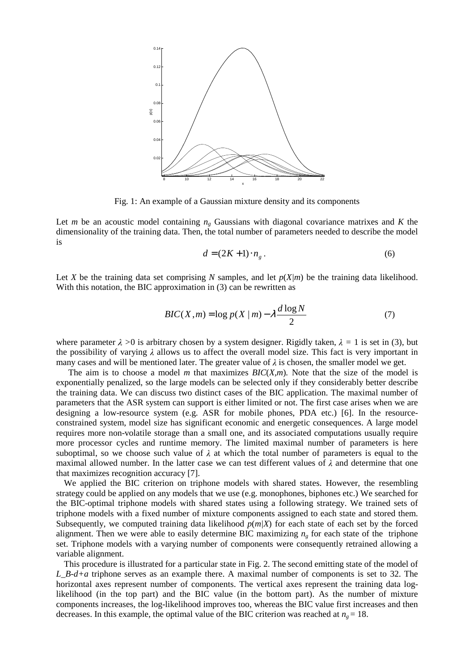

Fig.1: An example of a Gaussian mixture density and its components

Let *m* be an acoustic model containing  $n<sub>g</sub>$  Gaussians with diagonal covariance matrixes and *K* the dimensionality of the training data. Then, the total number of parameters neede dto describe the model is

$$
d = (2K + 1) \cdot n_g \,. \tag{6}
$$

Let *X* be the training data set comprising *N* samples, and let  $p(X/m)$  be the training data likelihood. With this notation, the BIC approximation in (3) can be rewritten as

$$
BIC(X,m) = \log p(X|m) - \lambda \frac{d \log N}{2}
$$
 (7)

where parameter  $\lambda$  > 0 is arbitrary chosen by a system designer. Rigidly taken,  $\lambda$  $\lambda = 1$  is set in (3), but the possibility of varying  $\lambda$  allows us to affect the overall model size. This fact is ve ryimportant in many cases and will be mentioned later. The greater value of  $\lambda$ ischosen, the smaller model we get.

 The aim is to choose a model *m* that maximizes *BIC*(*X,m*)*.* Note that the size of the model is exponentially penalized, so the large models can be selected only if they considerably better describe the training data. We can discuss two distinct cases of the BIC application. The maximal number of parameters that the ASR system can support is either limited or not. The first case arises when we are designing a low-resource system (e.g. ASR for mobile phones, PDA et c.) [6]. In the resourceconstrained system, model size has significant economic and energet ic consequences. A large model requires more non-volatile storage than a small one, and its associ ated computations usually require more processor cycles and runtime memory. The limited maximal numbe r of parameters is here suboptimal, so we choose such value of - $\lambda$  at which the total number of parameters is equal to the maximal allowed number. In the latter case we can test differe nt values of  $\lambda$  and determine that one that maximizes recognition accuracy [7].

We applied the BIC criterion on triphone models with shared states. H owever, the resembling strategy could be applied on any models that we use (e.g. monophones, biphones etc.) We sear ched for the BIC-optimal triphone models with shared states using a following strategy. We trained sets of triphone models with a fixed number of mixture components assigned to each state and stored them. Subsequently, we computed training data likelihood  $p(m/X)$  for each state of each set by the forced alignment. Then we were able to easily determine BIC maximizi ng *ng* for each state of the triphone set. Triphone models with a varying number of components were consequently retrained allowing a variablealignment.

This procedure is illustrated for a particular state in Fig. 2. The second em itting state of the model of *L\_B-d+a* triphone serves as an example there. A maximal number of components i set to 32. The horizontal axes represent number of components. The vertical axes repre sent the training data loglikelihood (in the top part) and the BIC value (in the bottom part). As the number of mixture components increases, the log-likelihood improves too, whereas the BIC value first increases and then decreases. In this example, the optimal value of the BIC criterion was reached at  $n_g = 18$ .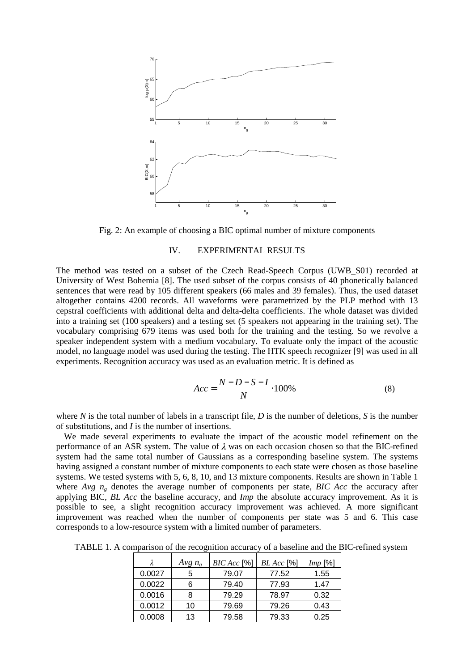

Fig. 2: Anexample of choosing a BIC optimal number of mixture components

#### IV. EXPERIMENTAL RESULTS

The method was tested on a subset of the Czech Read-Speech Corpus ( UWB S01) recorded at University of West Bohemia [8]. The used subset of the corpus consist sof 40 phonetically balanced sentences that were read by 105 different speakers (66 males and 39 females). Thus, the used dataset altogether contains 4200 records. All waveforms were parametrized by the PLP method with 13 cepstral coefficients with additional delta and delta-delta coeff icients. The whole dataset was divided into a training set (100 speakers) and a testing set (5 speakers not appearing in the training set). The vocabulary comprising 679 items was used both for the training and the t esting. So we revolve a speaker independent system with a medium vocabulary. To evaluate only the impact of the acoustic model, no language model was used during the testing. The HTK speech recognizer [9] was used in all experiments. Recognition accuracy was used as an evaluation metric. It is def ined as

$$
Acc = \frac{N - D - S - I}{N} \cdot 100\%
$$
 (8)

where *N* is the total number of labels in a transcript file. *D* is the number of deletions. *S* is the number of substitutions, and *I* is the number of insertions.

We made several experiments to evaluate the impact of the acous tic model refinement on the performance of an ASR system. The value of - $\lambda$  was one achoccasion chosens othat the BIC-refined system had the same total number of Gaussians as a corresponding bas eline system. The systems having assigned a constant number of mixture components to each state w ere chosen as those baseline systems. We tested systems with 5, 6, 8, 10, and 13 mixture components. Results are s hown in Table 1 where *Avg n<sub>g</sub>* denotes the average number of components per state, *BIC Acc* the accuracy after applying BIC, *BL Acc* the baseline accuracy, and *Imp* the absolute accuracy improvement. As it is possible to see, a slight recognition accuracy improvement was ac hieved. A more significant improvement was reached when the number of components per state was 5 and 6. This case corresponds to a low-resource system with a limited number of parameters.

TABLE1.A comparison of the recognition accuracy of a baseline and the BIC-refined sy stem

|        | Avgn <sub>g</sub> | $BICAcc$ [%] | $BLAcc$ [%] | Imp[%] |
|--------|-------------------|--------------|-------------|--------|
| 0.0027 | 5                 | 79.07        | 77.52       | 1.55   |
| 0.0022 |                   | 79.40        | 77.93       | 1.47   |
| 0.0016 | 8                 | 79.29        | 78.97       | 0.32   |
| 0.0012 | 10                | 79.69        | 79.26       | 0.43   |
| 0.0008 | 13                | 79.58        | 79.33       | 0.25   |